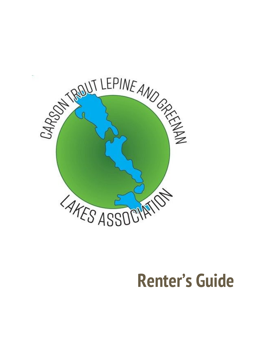

# **Renter's Guide**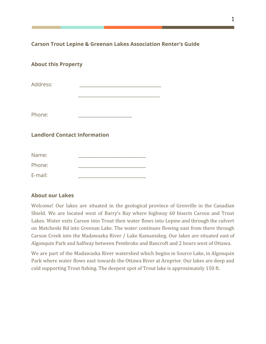**Carson Trout Lepine & Greenan Lakes Association Renter's Guide**

\_\_\_\_\_\_\_\_\_\_\_\_\_\_\_\_\_\_\_\_\_\_\_\_\_\_\_\_\_\_\_\_\_\_\_

## **About this Property**

Address:

Phone:

**Landlord Contact Information**

| Name:   |  |
|---------|--|
| Phone:  |  |
| E-mail: |  |

## **About our Lakes**

Welcome! Our lakes are situated in the geological province of Grenville in the Canadian Shield. We are located west of Barry's Bay where highway 60 bisects Carson and Trout Lakes. Water exits Carson into Trout then water flows into Lepine and through the culvert on Matcheski Rd into Greenan Lake. The water continues flowing east from there through Carson Creek into the Madawaska River / Lake Kamaniskeg. Our lakes are situated east of Algonquin Park and halfway between Pembroke and Bancroft and 2 hours west of Ottawa.

We are part of the Madawaska River watershed which begins in Source Lake, in Algonquin Park where water flows east towards the Ottawa River at Arnprior. Our lakes are deep and cold supporting Trout fishing. The deepest spot of Trout lake is approximately 150 ft.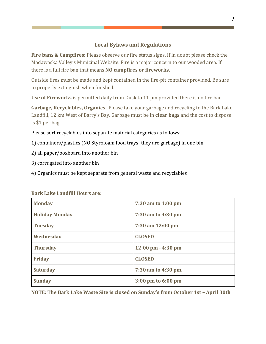## **Local Bylaws and Regulations**

**Fire bans & Campfires:** Please observe our fire status signs. If in doubt please check the Madawaska Valley's Municipal Website. Fire is a major concern to our wooded area. If there is a full fire ban that means **NO campfires or fireworks.**

Outside fires must be made and kept contained in the fire-pit container provided. Be sure to properly extinguish when finished.

**Use of Fireworks** is permitted daily from Dusk to 11 pm provided there is no fire ban.

**Garbage, Recyclables, Organics** . Please take your garbage and recycling to the Bark Lake Landfill, 12 km West of Barry's Bay. Garbage must be in **clear bags** and the cost to dispose is \$1 per bag.

Please sort recyclables into separate material categories as follows:

1) containers/plastics (NO Styrofoam food trays- they are garbage) in one bin

2) all paper/boxboard into another bin

3) corrugated into another bin

4) Organics must be kept separate from general waste and recyclables

| <b>Monday</b>         | 7:30 am to 1:00 pm                   |  |
|-----------------------|--------------------------------------|--|
| <b>Holiday Monday</b> | 7:30 am to 4:30 pm                   |  |
| <b>Tuesday</b>        | 7:30 am 12:00 pm                     |  |
| Wednesday             | <b>CLOSED</b>                        |  |
| <b>Thursday</b>       | $12:00 \text{ pm} - 4:30 \text{ pm}$ |  |
| <b>Friday</b>         | <b>CLOSED</b>                        |  |
| <b>Saturday</b>       | 7:30 am to 4:30 pm.                  |  |
| <b>Sunday</b>         | $3:00 \text{ pm}$ to 6:00 pm         |  |

**Bark Lake Landfill Hours are:**

**NOTE: The Bark Lake Waste Site is closed on Sunday's from October 1st – April 30th**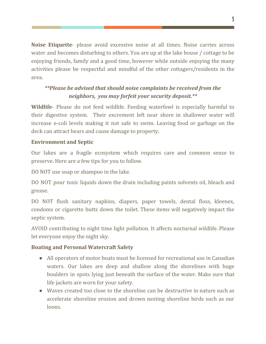**Noise Etiquette**- please avoid excessive noise at all times. Noise carries across water and becomes disturbing to others. You are up at the lake house / cottage to be enjoying friends, family and a good time, however while outside enjoying the many activities please be respectful and mindful of the other cottagers/residents in the area.

## *\*\*Please be advised that should noise complaints be received from the neighbors, you may forfeit your security deposit.\*\**

**Wildlife**- Please do not feed wildlife. Feeding waterfowl is especially harmful to their digestive system. Their excrement left near shore in shallower water will increase e-coli levels making it not safe to swim. Leaving food or garbage on the deck can attract bears and cause damage to property.

## **Environment and Septic**

Our lakes are a fragile ecosystem which requires care and common sense to preserve. Here are a few tips for you to follow.

DO NOT use soap or shampoo in the lake.

DO NOT pour toxic liquids down the drain including paints solvents oil, bleach and grease.

DO NOT flush sanitary napkins, diapers, paper towels, dental floss, kleenex, condoms or cigarette butts down the toilet. These items will negatively impact the septic system.

AVOID contributing to night time light pollution. It affects nocturnal wildlife. Please let everyone enjoy the night sky.

## **Boating and Personal Watercraft Safety**

- All operators of motor boats must be licensed for recreational use in Canadian waters. Our lakes are deep and shallow along the shorelines with huge boulders in spots lying just beneath the surface of the water. Make sure that life jackets are worn for your safety.
- Waves created too close to the shoreline can be destructive in nature such as accelerate shoreline erosion and drown nesting shoreline birds such as our loons.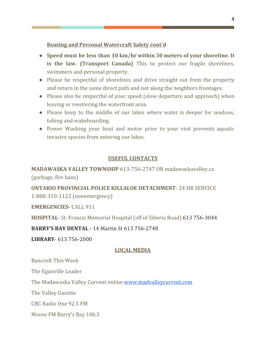#### **Boating and Personal Watercraft Safety cont'd**

- **Speed must be less than 10 km/hr within 30 meters of your shoreline. It is the law. (Transport Canada)** This to protect our fragile shorelines, swimmers and personal property.
- Please be respectful of shorelines and drive straight out from the property and return in the same direct path and not along the neighbors frontages.
- Please also be respectful of your speed (slow departure and approach) when leaving or reentering the waterfront area.
- Please keep to the middle of our lakes where water is deeper for seadoos, tubing and wakeboarding.
- Power Washing your boat and motor prior to your visit prevents aquatic invasive species from entering our lakes.

## **USEFUL CONTACTS**

## **MADAWASKA VALLEY TOWNSHIP** 613-756-2747 OR madawaskavalley.ca (garbage, fire bans)

**ONTARIO PROVINCIAL POLICE KILLALOE DETACHMENT**- 24 HR SERVICE 1-888-310-1122 (nonemergency)

#### **EMERGENCIES**- CALL 911

**HOSPITAL**- St. Francis Memorial Hospital (off of Siberia Road) 613 756-3044

#### **BARRY'S BAY DENTAL -** 14 Martin St 613 756-2748

**LIBRARY**- 613 756-2000

#### **LOCAL MEDIA**

Bancroft This Week

The Eganville Leader

The Madawaska Valley Current online [www.madvalleycurrent.com](http://www.madvalleycurrent.com/)

The Valley Gazette

CBC Radio One 92.5 FM

Moose FM Barry's Bay 106.5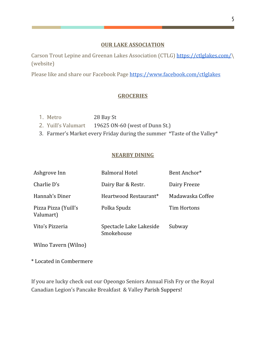#### **OUR LAKE ASSOCIATION**

Carson Trout Lepine and Greenan Lakes Association (CTLG) <https://ctlglakes.com/>\ (website)

Please like and share our Facebook Page <https://www.facebook.com/ctlglakes>

## **GROCERIES**

- 1. Metro 28 Bay St
- 2. Yuill's Valumart 19625 ON-60 (west of Dunn St.)
- 3. Farmer's Market every Friday during the summer \*Taste of the Valley\*

#### **NEARBY DINING**

| Ashgrove Inn                      | <b>Balmoral Hotel</b>                 | Bent Anchor*     |
|-----------------------------------|---------------------------------------|------------------|
| Charlie D's                       | Dairy Bar & Restr.                    | Dairy Freeze     |
| Hannah's Diner                    | Heartwood Restaurant*                 | Madawaska Coffee |
| Pizza Pizza (Yuill's<br>Valumart) | Polka Spudz                           | Tim Hortons      |
| Vito's Pizzeria                   | Spectacle Lake Lakeside<br>Smokehouse | Subway           |

Wilno Tavern (Wilno)

\* Located in Combermere

If you are lucky check out our Opeongo Seniors Annual Fish Fry or the Royal Canadian Legion's Pancake Breakfast & Valley Parish Suppers!